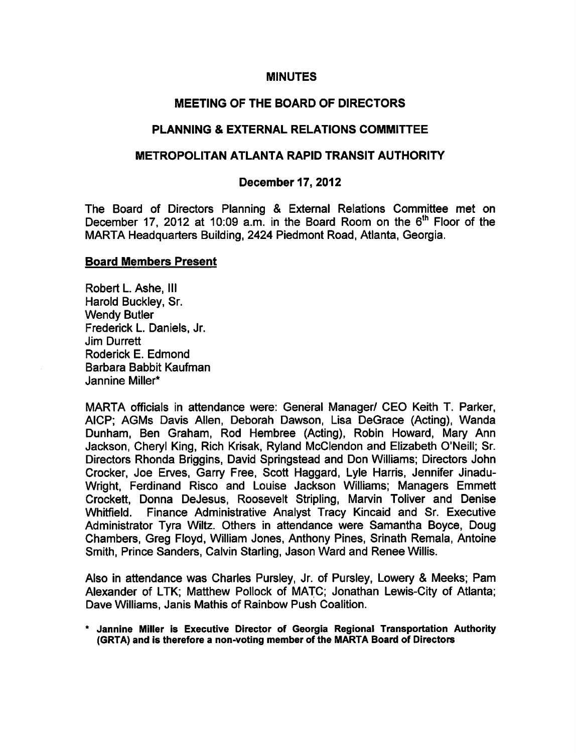#### MINUTES

#### MEETING OF THE BOARD OF DIRECTORS

#### PLANNING & EXTERNAL RELATIONS COMMITTEE

#### METROPOLITAN ATLANTA RAPID TRANSIT AUTHORITY

#### December 17, 2012

The Board of Directors Planning & External Relations Committee met on December 17, 2012 at 10:09 a.m. in the Board Room on the 6<sup>th</sup> Floor of the MARTA Headquarters Building, 2424 Piedmont Road, Atlanta, Georgia.

#### Board Members Present

Robert L. Ashe, III Harold Buckley, Sr. Wendy Butler Frederick L. Daniels, Jr. Jim Durrett Roderick E. Edmond Barbara Babbit Kaufman Jannine Miller\*

MARTA officials in attendance were: General Manager/ CEO Keith T. Parker, AICP; AGMs Davis Allen, Deborah Dawson, Lisa DeGrace (Acting), Wanda Dunham, Ben Graham, Rod Hembree (Acting), Robin Howard, Mary Ann Jackson, Cheryl King, Rich Krisak, Ryland McClendon and Elizabeth O'Neill; Sr. Directors Rhonda Briggins, David Springstead and Don Williams; Directors John Crocker, Joe Erves, Garry Free, Scott Haggard, Lyle Harris, Jennifer Jinadu-Wright, Ferdinand Risco and Louise Jackson Williams; Managers Emmett Crockett, Donna DeJesus, Roosevelt Stripling, Marvin Toliver and Denise Whitfield. Finance Administrative Analyst Tracy Kincaid and Sr. Executive Administrator Tyra Wiltz. Others in attendance were Samantha Boyce, Doug Chambers, Greg Floyd, William Jones, Anthony Pines, Srinath Remala, Antoine Smith, Prince Sanders, Calvin Starling, Jason Ward and Renee Willis.

Also in attendance was Charles Pursley, Jr. of Pursley, Lowery & Meeks; Pam Alexander of LTK; Matthew Pollock of MATC; Jonathan Lewis-City of Atlanta; Dave Williams, Janis Mathis of Rainbow Push Coalition.

Jannine Miller is Executive Director of Georgia Regional Transportation Authority (GRTA) and is therefore a non-voting member of the MARTA Board of Directors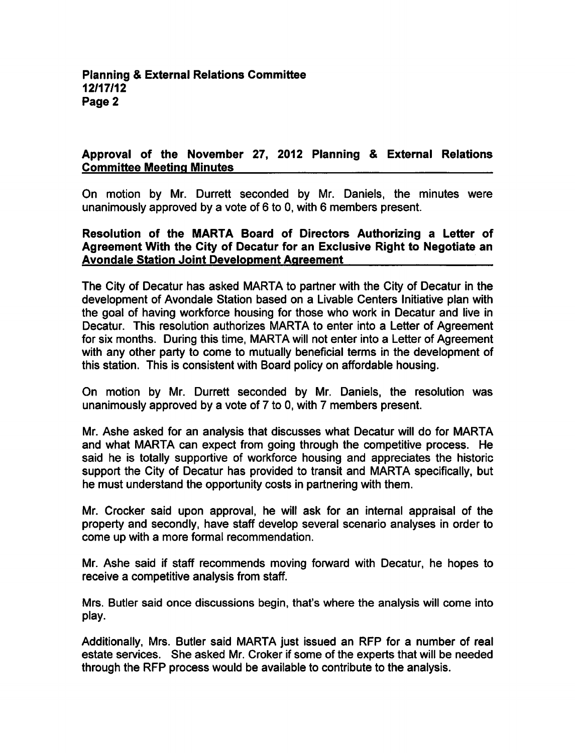# Approval of the November 27, 2012 Planning & External Relations Committee Meeting Minutes

On motion by Mr. Durrett seconded by Mr. Daniels, the minutes were unanimously approved by a vote of  $6$  to 0, with  $6$  members present.

## Resolution of the MARTA Board of Directors Authorizing a Letter of Agreement With the City of Decatur for an Exclusive Right to Negotiate an Avondale Station Joint Development Agreement

The City of Decatur has asked MARTA to partner with the City of Decatur in the development of Avondale Station based on a Livable Centers Initiative plan with the goal of having workforce housing for those who work in Decatur and live in Decatur. This resolution authorizes MARTA to enter into a Letter of Agreement for six months. During this time, MARTA will not enter into a Letter of Agreement with any other party to come to mutually beneficial terms in the development of this station. This is consistent with Board policy on affordable housing.

On motion by Mr. Durrett seconded by Mr. Daniels, the resolution was unanimously approved by a vote of 7 to 0, with 7 members present.

Mr. Ashe asked for an analysis that discusses what Decatur will do for MARTA and what MARTA can expect from going through the competitive process. He said he is totally supportive of workforce housing and appreciates the historic support the City of Decatur has provided to transit and MARTA specifically, but he must understand the opportunity costs in partnering with them.

Mr. Crocker said upon approval, he will ask for an internal appraisal of the property and secondly, have staff develop several scenario analyses in order to come up with a more formal recommendation.

Mr. Ashe said if staff recommends moving forward with Decatur, he hopes to receive a competitive analysis from staff.

Mrs. Butler said once discussions begin, that's where the analysis will come into play.

Additionally, Mrs. Butler said MARTA just issued an RFP for a number of real estate services. She asked Mr. Croker if some of the experts that will be needed through the RFP process would be available to contribute to the analysis.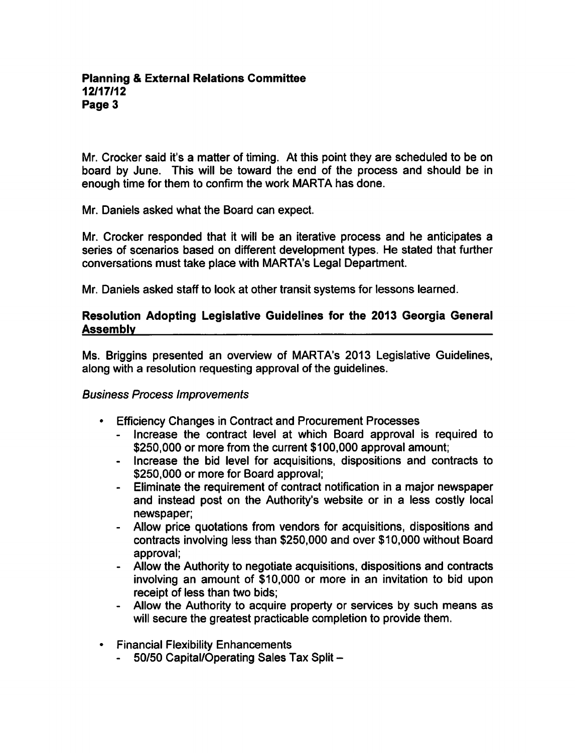Mr. Crocker said it's a matter of timing. At this point they are scheduled to be on board by June. This will be toward the end of the process and should be in enough time for them to confirm the work MARTA has done.

Mr. Daniels asked what the Board can expect.

Mr. Crocker responded that it will be an iterative process and he anticipates series of scenarios based on different development types. He stated that further conversations must take place with MARTA's Legal Department.

Mr. Daniels asked staff to look at other transit systems for lessons learned.

## Resolution Adopting Legislative Guidelines for the 2013 Georgia General Assembly

Ms. Briggins presented an overview of MARTA's 2013 Legislative Guidelines, along with a resolution requesting approval of the guidelines.

## Business Process Improvements

- Efficiency Changes in Contract and Procurement Processes  $\bullet$ 
	- Increase the contract level at which Board approval is required to \$250,000 or more from the current \$100,000 approval amount;
	- Increase the bid level for acquisitions, dispositions and contracts to \$250,000 or more for Board approval;
	- Eliminate the requirement of contract notification in a major newspaper and instead post on the Authority's website or in a less costly local newspaper;
	- Allow price quotations from vendors for acquisitions, dispositions and contracts involving less than \$250,000 and over \$10,000 without Board approval;
	- Allow the Authority to negotiate acquisitions, dispositions and contracts involving an amount of \$10,000 or more in an invitation to bid upon receipt of less than two bids;
	- Allow the Authority to acquire property or services by such means as will secure the greatest practicable completion to provide them.
- Financial Flexibility Enhancements
	- $\blacksquare$ 50/50 Capital/Operating Sales Tax Split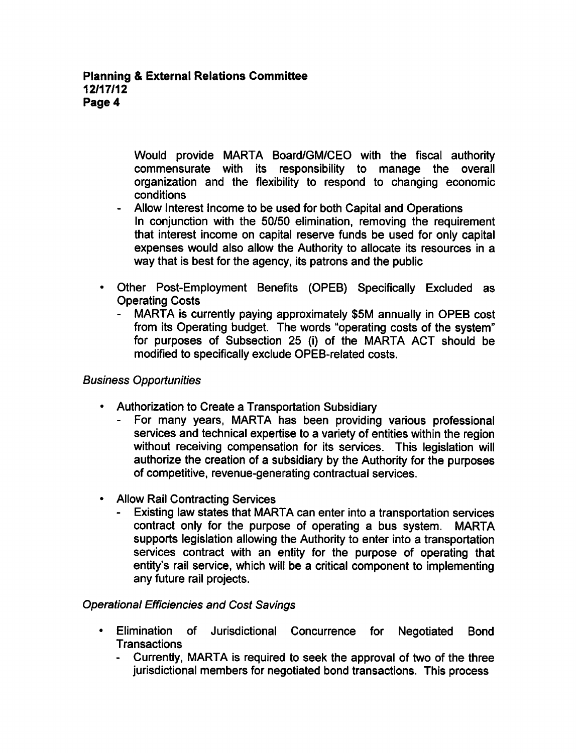Would provide MARTA Board/GM/CEO with the fiscal authority commensurate with its responsibility to manage the overall organization and the flexibility to respond to changing economic conditions

- Allow Interest Income to be used for both Capital and Operations In conjunction with the 50/50 elimination, removing the requirement that interest income on capital reserve funds be used for only capital expenses would also allow the Authority to allocate its resources in a way that is best for the agency, its patrons and the public
- Other Post-Employment Benefits (OPEB) Specifically Excluded as Operating Costs
	- MARTA is currently paying approximately \$5M annually in OPEB cost  $\blacksquare$ from its Operating budget. The words "operating costs of the system" for purposes of Subsection 25 (i) of the MARTA ACT should be modified to specifically exclude OPEB-related costs.

# Business Opportunities

- Authorization to Create a Transportation Subsidiary
	- For many years, MARTA has been providing various professional services and technical expertise to a variety of entities within the region without receiving compensation for its services. This legislation will authorize the creation of a subsidiary by the Authority for the purposes of competitive, revenue-generating contractual services.
- Allow Rail Contracting Services
	- Existing law states that MARTA can enter into a transportation services contract only for the purpose of operating a bus system. MARTA supports legislation allowing the Authority to enter into a transportation services contract with an entity for the purpose of operating that entity's rail service, which will be a critical component to implementing any future rail projects.

## Operational Efficiencies and Cost Savings

- Elimination of Jurisdictional Concurrence for Negotiated Bond **Transactions** 
	- Currently, MARTA is required to seek the approval of two of the three jurisdictional members for negotiated bond transactions. This process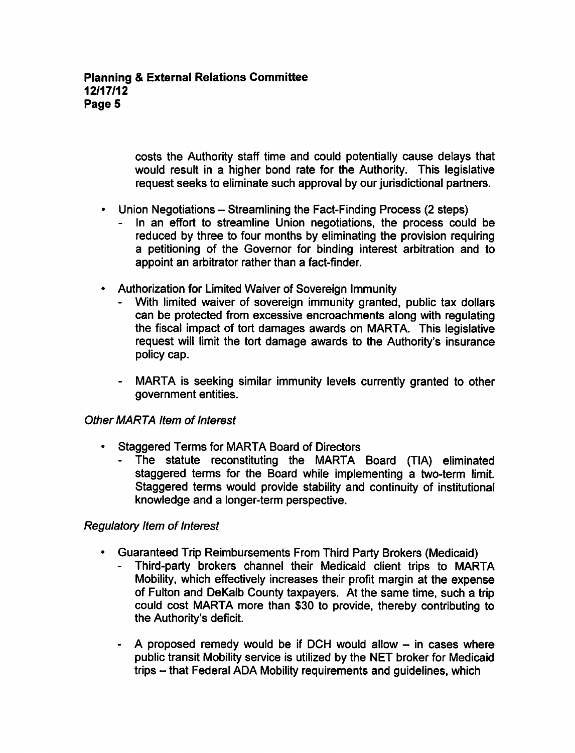costs the Authority staff time and could potentially cause delays that would result in a higher bond rate for the Authority. This legislative request seeks to eliminate such approval by our jurisdictional partners.

- $\cdot$  Union Negotiations Streamlining the Fact-Finding Process (2 steps)
	- In an effort to streamline Union negotiations, the process could be reduced by three to four months by eliminating the provision requiring petitioning of the Governor for binding interest arbitration and to appoint an arbitrator rather than a fact-finder.
- Authorization for Limited Waiver of Sovereign Immunity
	- With limited waiver of sovereign immunity granted, public tax dollars can be protected from excessive encroachments along with regulating the fiscal impact of tort damages awards on MARTA. This legislative request will limit the tort damage awards to the Authority's insurance policy cap.
	- MARTA is seeking similar immunity levels currently granted to other government entities.

## Other MARTA Item of Interest

- Staggered Terms for MARTA Board of Directors
	- The statute reconstituting the MARTA Board (TIA) eliminated staggered terms for the Board while implementing a two-term limit. Staggered terms would provide stability and continuity of institutional knowledge and a longer-term perspective.

## Regulatory Item of Interest

- Guaranteed Trip Reimbursements From Third Party Brokers (Medicaid)
	- Third-party brokers channel their Medicaid client trips to MARTA Mobility, which effectively increases their profit margin at the expense of Fulton and DeKalb County taxpayers. At the same time, such a trip could cost MARTA more than \$30 to provide, thereby contributing to the Authority's deficit.
	- A proposed remedy would be if DCH would allow  $-$  in cases where public transit Mobility service is utilized by the NET broker for Medicaid trips - that Federal ADA Mobility requirements and guidelines, which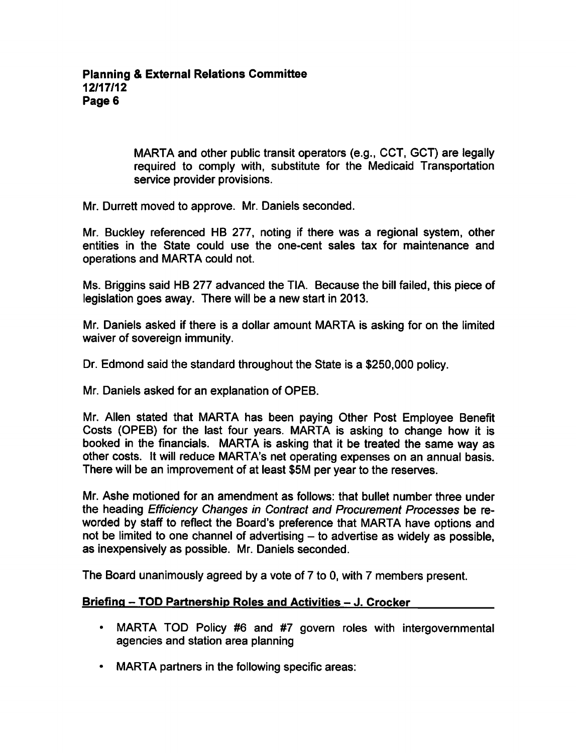MARTA and other public transit operators (e.g., CCT, GCT) are legally required to comply with, substitute for the Medicaid Transportation service provider provisions.

Mr. Durrett moved to approve. Mr. Daniels seconded.

Mr. Buckley referenced HB 277, noting if there was a regional system, other entities in the State could use the one-cent sales tax for maintenance and operations and MARTA could not.

Ms. Briggins said HB 277 advanced the TIA. Because the bill failed, this piece of legislation goes away. There will be a new start in 2013.

Mr. Daniels asked if there is a dollar amount MARTA is asking for on the limited waiver of sovereign immunity.

Dr. Edmond said the standard throughout the State is a \$250,000 policy.

Mr. Daniels asked for an explanation of OPEB.

Mr. Allen stated that MARTA has been paying Other Post Employee Benefit Costs (OPEB) for the last four years. MARTA is asking to change how it is booked in the financials. MARTA is asking that it be treated the same way as other costs. It will reduce MARTA's net operating expenses on an annual basis. There will be an improvement of at least \$5M per year to the reserves.

Mr. Ashe motioned for an amendment as follows: that bullet number three under the heading Efficiency Changes in Contract and Procurement Processes be re worded by staff to reflect the Board's preference that MARTA have options and not be limited to one channel of advertising  $-$  to advertise as widely as possible, as inexpensively as possible. Mr. Daniels seconded.

The Board unanimously agreed by a vote of  $7$  to 0, with  $7$  members present.

#### Briefing - TOD Partnership Roles and Activities - J. Crocker

- MARTA TOD Policy #6 and #7 govern roles with intergovernmental agencies and station area planning
- MARTA partners in the following specific areas: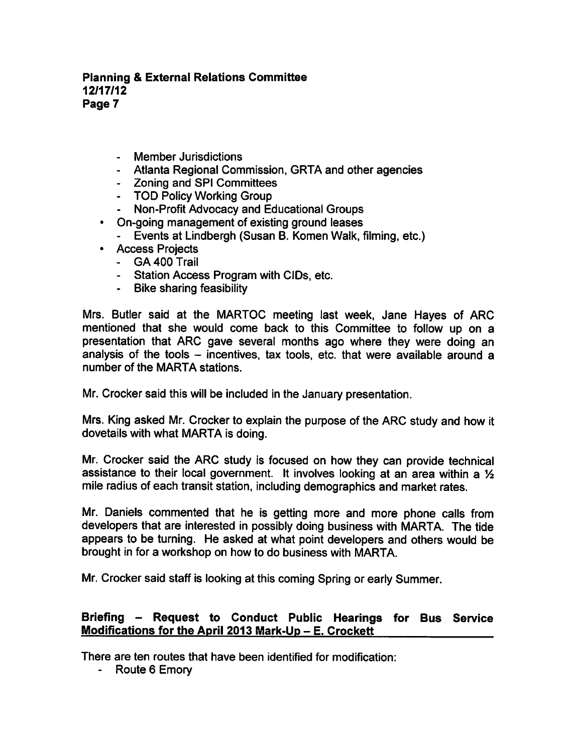- Member Jurisdictions
- Atlanta Regional Commission, GRTA and other agencies
- Zoning and SPI Committees
- TOD Policy Working Group
- Non-Profit Advocacy and Educational Groups
- On-going management of existing ground leases
	- Events at Lindbergh (Susan B. Komen Walk, filming, etc.)
- Access Projects
	- GA 400 Trail
	- Station Access Program with CIDs, etc.
	- Bike sharing feasibility

Mrs. Butler said at the MARTOC meeting last week, Jane Hayes of ARC mentioned that she would come back to this Committee to follow up on a presentation that ARC gave several months ago where they were doing an analysis of the tools  $-$  incentives, tax tools, etc. that were available around a number of the MARTA stations.

Mr. Crocker said this will be included in the January presentation.

Mrs. King asked Mr. Crocker to explain the purpose of the ARC study and how it dovetails with what MARTA is doing.

Mr. Crocker said the ARC study is focused on how they can provide technical assistance to their local government. It involves looking at an area within a  $\frac{1}{2}$ mile radius of each transit station, including demographics and market rates.

Mr. Daniels commented that he is getting more and more phone calls from developers that are interested in possibly doing business with MARTA. The tide appears to be turning. He asked at what point developers and others would be brought in for a workshop on how to do business with MARTA.

Mr. Crocker said staff is looking at this coming Spring or early Summer.

## Briefing – Request to Conduct Public Hearings for Bus Service Modifications for the April 2013 Mark-Up  $-$  E. Crockett

There are ten routes that have been identified for modification:

- Route 6 Emory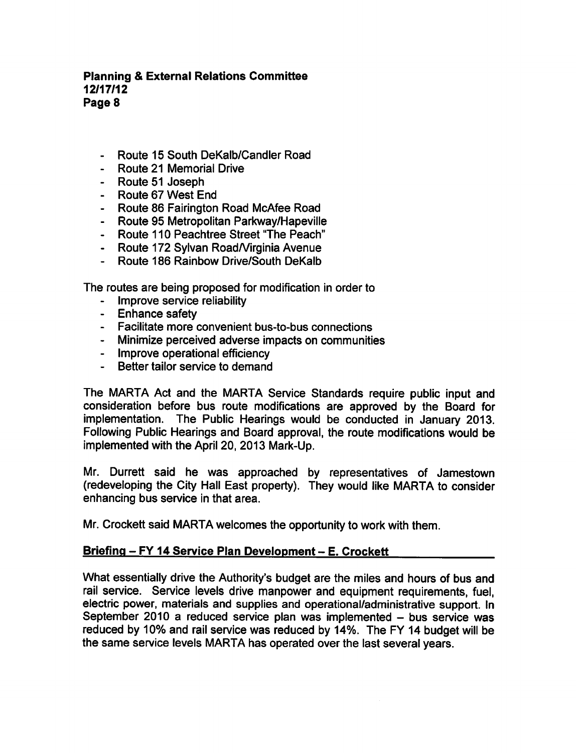- Route 15 South DeKalb/Candler Road
- Route 21 Memorial Drive
- Route 51 Joseph
- Route 67 West End
- Route 86 Fairington Road McAfee Road
- Route 95 Metropolitan Parkway/Hapeville
- Route 110 Peachtree Street "The Peach"
- Route 172 Sylvan Road/Virginia Avenue
- Route 186 Rainbow Drive/South DeKalb

The routes are being proposed for modification in order to

- Improve service reliability
- Enhance safety
- Facilitate more convenient bus-to-bus connections
- Minimize perceived adverse impacts on communities
- Improve operational efficiency
- Better tailor service to demand

The MARTA Act and the MARTA Service Standards require public input and consideration before bus route modifications are approved by the Board for implementation. The Public Hearings would be conducted in January 2013. Following Public Hearings and Board approval, the route modifications would be implemented with the April 20, 2013 Mark-Up.

Mr. Durrett said he was approached by representatives of Jamestown (redeveloping the City Hall East property). They would like MARTA to consider enhancing bus service in that area.

Mr. Crockett said MARTA welcomes the opportunity to work with them.

## Briefing - FY 14 Service Plan Development - E. Crockett

What essentially drive the Authority's budget are the miles and hours of bus and rail service. Service levels drive manpower and equipment requirements, fuel, electric power, materials and supplies and operational/administrative support. In September 2010 a reduced service plan was implemented  $-$  bus service was reduced by 10% and rail service was reduced by 14%. The FY 14 budget will be the same service levels MARTA has operated over the last several years.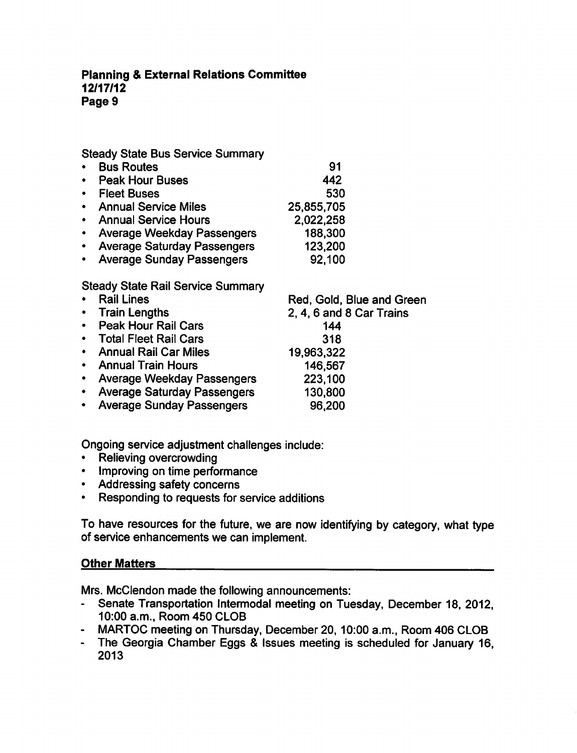Steady State Bus Service Summary

- Bus Routes Peak Hour Buses Fleet Buses **• Annual Service Miles** Annual Service Hours Average Weekday Passengers Average Saturday Passengers 91 442 530 25,855,705 2,022,258 188,300 123,200
- Average Sunday Passengers 92,100

# Steady State Rail Service Summary

| • Rail Lines                  | Red, Gold, Blue and Green |
|-------------------------------|---------------------------|
| • Train Lengths               | 2, 4, 6 and 8 Car Trains  |
| • Peak Hour Rail Cars         | 144                       |
| • Total Fleet Rail Cars       | 318                       |
| • Annual Rail Car Miles       | 19,963,322                |
| • Annual Train Hours          | 146,567                   |
| • Average Weekday Passengers  | 223,100                   |
| • Average Saturday Passengers | 130,800                   |
| • Average Sunday Passengers   | 96,200                    |
|                               |                           |

Ongoing service adjustment challenges include:

- Relieving overcrowding
- Improving on time performance
- Addressing safety concerns
- Responding to requests for service additions  $\bullet$

To have resources for the future, we are now identifying by category, what type of service enhancements we can implement.

# Other Matters

Mrs. McClendon made the following announcements:

- $\frac{1}{2}$ Senate Transportation Intermodal meeting on Tuesday, December 18, 2012, 10:00 a.m., Room 450 CLOB
- MARTOC meeting on Thursday, December 20, 10:00 a.m., Room 406 CLOB
- The Georgia Chamber Eggs & Issues meeting is scheduled for January 16, 2013